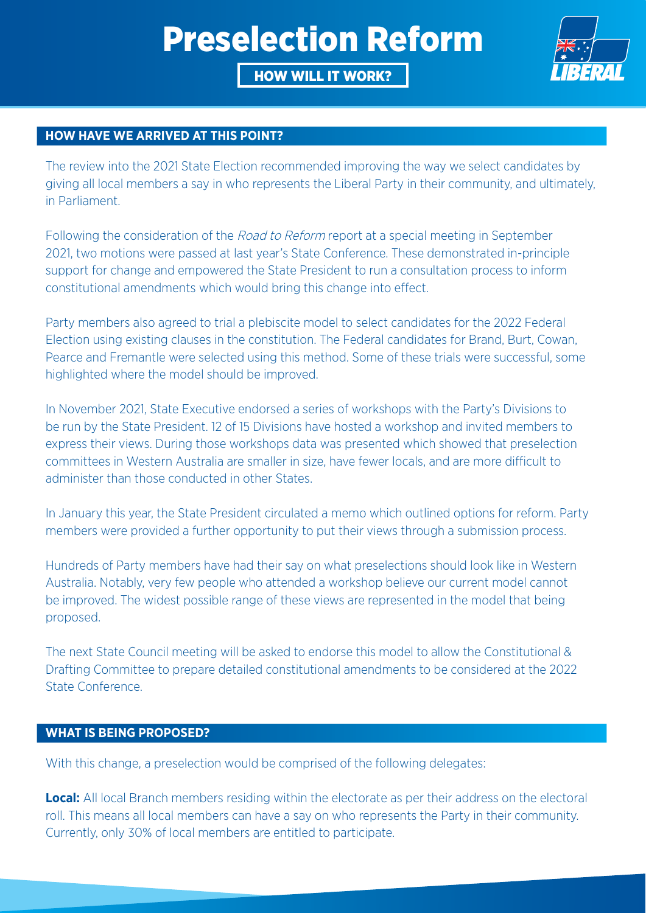# Preselection Reform

### HOW WILL IT WORK?



#### **HOW HAVE WE ARRIVED AT THIS POINT?**

The review into the 2021 State Election recommended improving the way we select candidates by giving all local members a say in who represents the Liberal Party in their community, and ultimately, in Parliament.

Following the consideration of the *Road to Reform* report at a special meeting in September 2021, two motions were passed at last year's State Conference. These demonstrated in-principle support for change and empowered the State President to run a consultation process to inform constitutional amendments which would bring this change into effect.

Party members also agreed to trial a plebiscite model to select candidates for the 2022 Federal Election using existing clauses in the constitution. The Federal candidates for Brand, Burt, Cowan, Pearce and Fremantle were selected using this method. Some of these trials were successful, some highlighted where the model should be improved.

In November 2021, State Executive endorsed a series of workshops with the Party's Divisions to be run by the State President. 12 of 15 Divisions have hosted a workshop and invited members to express their views. During those workshops data was presented which showed that preselection committees in Western Australia are smaller in size, have fewer locals, and are more difficult to administer than those conducted in other States.

In January this year, the State President circulated a memo which outlined options for reform. Party members were provided a further opportunity to put their views through a submission process.

Hundreds of Party members have had their say on what preselections should look like in Western Australia. Notably, very few people who attended a workshop believe our current model cannot be improved. The widest possible range of these views are represented in the model that being proposed.

The next State Council meeting will be asked to endorse this model to allow the Constitutional & Drafting Committee to prepare detailed constitutional amendments to be considered at the 2022 State Conference.

#### **WHAT IS BEING PROPOSED?**

With this change, a preselection would be comprised of the following delegates:

**Local:** All local Branch members residing within the electorate as per their address on the electoral roll. This means all local members can have a say on who represents the Party in their community. Currently, only 30% of local members are entitled to participate.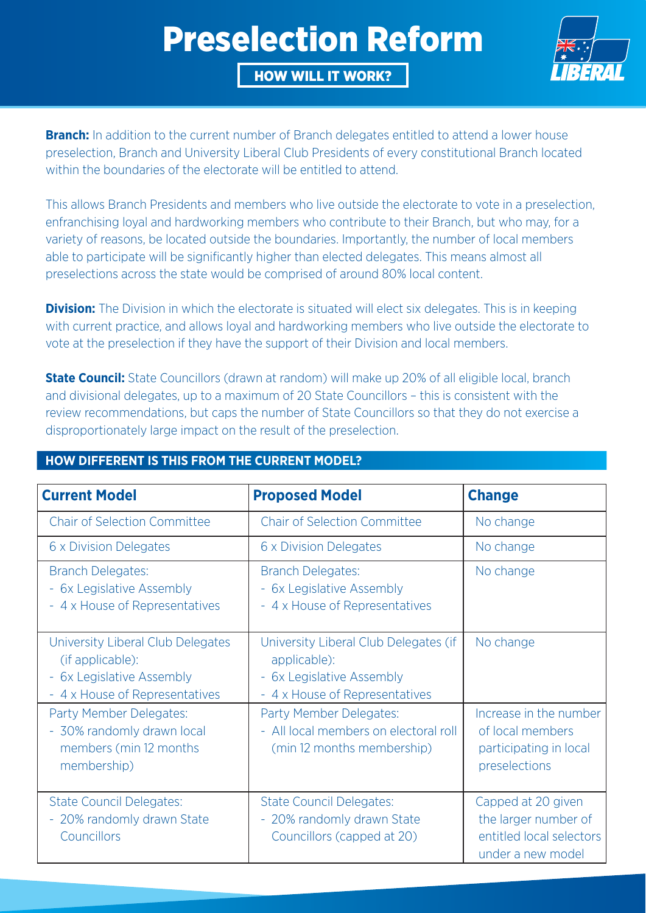# Preselection Reform

HOW WILL IT WORK?



**Branch:** In addition to the current number of Branch delegates entitled to attend a lower house preselection, Branch and University Liberal Club Presidents of every constitutional Branch located within the boundaries of the electorate will be entitled to attend.

This allows Branch Presidents and members who live outside the electorate to vote in a preselection, enfranchising loyal and hardworking members who contribute to their Branch, but who may, for a variety of reasons, be located outside the boundaries. Importantly, the number of local members able to participate will be significantly higher than elected delegates. This means almost all preselections across the state would be comprised of around 80% local content.

**Division:** The Division in which the electorate is situated will elect six delegates. This is in keeping with current practice, and allows loyal and hardworking members who live outside the electorate to vote at the preselection if they have the support of their Division and local members.

**State Council:** State Councillors (drawn at random) will make up 20% of all eligible local, branch and divisional delegates, up to a maximum of 20 State Councillors – this is consistent with the review recommendations, but caps the number of State Councillors so that they do not exercise a disproportionately large impact on the result of the preselection.

### **HOW DIFFERENT IS THIS FROM THE CURRENT MODEL?**

| <b>Current Model</b>                                                                                                 | <b>Proposed Model</b>                                                                                                          | <b>Change</b>                                                                               |
|----------------------------------------------------------------------------------------------------------------------|--------------------------------------------------------------------------------------------------------------------------------|---------------------------------------------------------------------------------------------|
| <b>Chair of Selection Committee</b>                                                                                  | <b>Chair of Selection Committee</b>                                                                                            | No change                                                                                   |
| 6 x Division Delegates                                                                                               | 6 x Division Delegates                                                                                                         | No change                                                                                   |
| <b>Branch Delegates:</b><br>- 6x Legislative Assembly<br>- 4 x House of Representatives                              | <b>Branch Delegates:</b><br>- 6x Legislative Assembly<br>- 4 x House of Representatives                                        | No change                                                                                   |
| University Liberal Club Delegates<br>(if applicable):<br>- 6x Legislative Assembly<br>- 4 x House of Representatives | University Liberal Club Delegates (if<br>applicable):<br>6x Legislative Assembly<br>$\equiv$<br>- 4 x House of Representatives | No change                                                                                   |
| Party Member Delegates:<br>- 30% randomly drawn local<br>members (min 12 months<br>membership)                       | Party Member Delegates:<br>- All local members on electoral roll<br>(min 12 months membership)                                 | Increase in the number<br>of local members<br>participating in local<br>preselections       |
| <b>State Council Delegates:</b><br>- 20% randomly drawn State<br>Councillors                                         | <b>State Council Delegates:</b><br>- 20% randomly drawn State<br>Councillors (capped at 20)                                    | Capped at 20 given<br>the larger number of<br>entitled local selectors<br>under a new model |